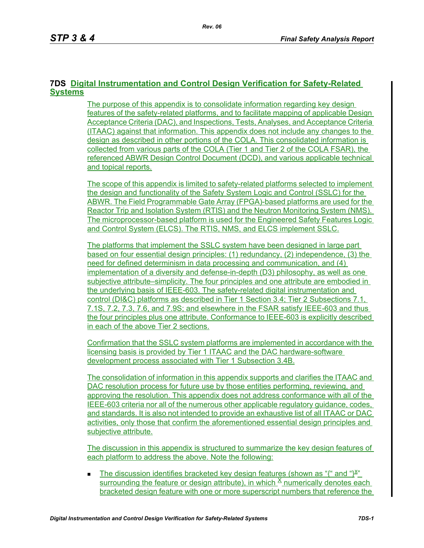### **7DS Digital Instrumentation and Control Design Verification for Safety-Related Systems**

The purpose of this appendix is to consolidate information regarding key design features of the safety-related platforms, and to facilitate mapping of applicable Design Acceptance Criteria (DAC), and Inspections, Tests, Analyses, and Acceptance Criteria (ITAAC) against that information. This appendix does not include any changes to the design as described in other portions of the COLA. This consolidated information is collected from various parts of the COLA (Tier 1 and Tier 2 of the COLA FSAR), the referenced ABWR Design Control Document (DCD), and various applicable technical and topical reports.

The scope of this appendix is limited to safety-related platforms selected to implement the design and functionality of the Safety System Logic and Control (SSLC) for the ABWR. The Field Programmable Gate Array (FPGA)-based platforms are used for the Reactor Trip and Isolation System (RTIS) and the Neutron Monitoring System (NMS). The microprocessor-based platform is used for the Engineered Safety Features Logic and Control System (ELCS). The RTIS, NMS, and ELCS implement SSLC.

The platforms that implement the SSLC system have been designed in large part based on four essential design principles: (1) redundancy, (2) independence, (3) the need for defined determinism in data processing and communication, and (4) implementation of a diversity and defense-in-depth (D3) philosophy, as well as one subjective attribute–simplicity. The four principles and one attribute are embodied in the underlying basis of IEEE-603. The safety-related digital instrumentation and control (DI&C) platforms as described in Tier 1 Section 3.4; Tier 2 Subsections 7.1, 7.1S, 7.2, 7.3, 7.6, and 7.9S; and elsewhere in the FSAR satisfy IEEE-603 and thus the four principles plus one attribute. Conformance to IEEE-603 is explicitly described in each of the above Tier 2 sections.

Confirmation that the SSLC system platforms are implemented in accordance with the licensing basis is provided by Tier 1 ITAAC and the DAC hardware-software development process associated with Tier 1 Subsection 3.4B.

The consolidation of information in this appendix supports and clarifies the ITAAC and DAC resolution process for future use by those entities performing, reviewing, and approving the resolution. This appendix does not address conformance with all of the IEEE-603 criteria nor all of the numerous other applicable regulatory guidance, codes, and standards. It is also not intended to provide an exhaustive list of all ITAAC or DAC activities, only those that confirm the aforementioned essential design principles and subjective attribute.

The discussion in this appendix is structured to summarize the key design features of each platform to address the above. Note the following:

The discussion identifies bracketed key design features (shown as "{" and " $X^2$ " surrounding the feature or design attribute), in which  $\frac{X}{Y}$  numerically denotes each bracketed design feature with one or more superscript numbers that reference the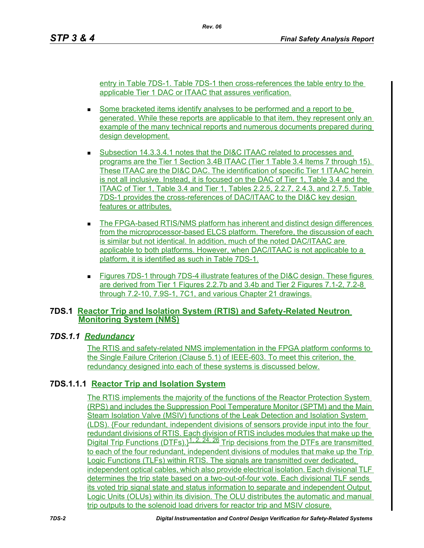entry in Table 7DS-1. Table 7DS-1 then cross-references the table entry to the applicable Tier 1 DAC or ITAAC that assures verification.

- Some bracketed items identify analyses to be performed and a report to be generated. While these reports are applicable to that item, they represent only an example of the many technical reports and numerous documents prepared during design development.
- Subsection 14.3.3.4.1 notes that the DI&C ITAAC related to processes and programs are the Tier 1 Section 3.4B ITAAC (Tier 1 Table 3.4 Items 7 through 15). These ITAAC are the DI&C DAC. The identification of specific Tier 1 ITAAC herein is not all inclusive. Instead, it is focused on the DAC of Tier 1, Table 3.4 and the ITAAC of Tier 1, Table 3.4 and Tier 1, Tables 2.2.5, 2.2.7, 2.4.3, and 2.7.5. Table 7DS-1 provides the cross-references of DAC/ITAAC to the DI&C key design features or attributes.
- The FPGA-based RTIS/NMS platform has inherent and distinct design differences from the microprocessor-based ELCS platform. Therefore, the discussion of each is similar but not identical. In addition, much of the noted DAC/ITAAC are applicable to both platforms. However, when DAC/ITAAC is not applicable to a platform, it is identified as such in Table 7DS-1.
- Figures 7DS-1 through 7DS-4 illustrate features of the DI&C design. These figures are derived from Tier 1 Figures 2.2.7b and 3.4b and Tier 2 Figures 7.1-2, 7.2-8 through 7.2-10, 7.9S-1, 7C1, and various Chapter 21 drawings.

# **7DS.1 Reactor Trip and Isolation System (RTIS) and Safety-Related Neutron Monitoring System (NMS)**

# *7DS.1.1 Redundancy*

The RTIS and safety-related NMS implementation in the FPGA platform conforms to the Single Failure Criterion (Clause 5.1) of IEEE-603. To meet this criterion, the redundancy designed into each of these systems is discussed below.

# **7DS.1.1.1 Reactor Trip and Isolation System**

The RTIS implements the majority of the functions of the Reactor Protection System (RPS) and includes the Suppression Pool Temperature Monitor (SPTM) and the Main Steam Isolation Valve (MSIV) functions of the Leak Detection and Isolation System (LDS). {Four redundant, independent divisions of sensors provide input into the four redundant divisions of RTIS. Each division of RTIS includes modules that make up the Digital Trip Functions (DTFs). $\frac{1.2, 24, 26}{1}$  Trip decisions from the DTFs are transmitted to each of the four redundant, independent divisions of modules that make up the Trip Logic Functions (TLFs) within RTIS. The signals are transmitted over dedicated, independent optical cables, which also provide electrical isolation. Each divisional TLF determines the trip state based on a two-out-of-four vote. Each divisional TLF sends its voted trip signal state and status information to separate and independent Output Logic Units (OLUs) within its division. The OLU distributes the automatic and manual trip outputs to the solenoid load drivers for reactor trip and MSIV closure.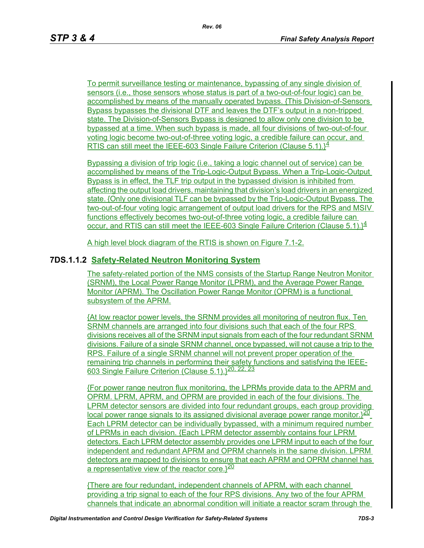To permit surveillance testing or maintenance, bypassing of any single division of sensors (i.e., those sensors whose status is part of a two-out-of-four logic) can be accomplished by means of the manually operated bypass. {This Division-of-Sensors Bypass bypasses the divisional DTF and leaves the DTF's output in a non-tripped state. The Division-of-Sensors Bypass is designed to allow only one division to be bypassed at a time. When such bypass is made, all four divisions of two-out-of-four voting logic become two-out-of-three voting logic, a credible failure can occur, and RTIS can still meet the IEEE-603 Single Failure Criterion (Clause 5.1). $\}^4$ 

Bypassing a division of trip logic (i.e., taking a logic channel out of service) can be accomplished by means of the Trip-Logic-Output Bypass. When a Trip-Logic-Output Bypass is in effect, the TLF trip output in the bypassed division is inhibited from affecting the output load drivers, maintaining that division's load drivers in an energized state. {Only one divisional TLF can be bypassed by the Trip-Logic-Output Bypass. The two-out-of-four voting logic arrangement of output load drivers for the RPS and MSIV functions effectively becomes two-out-of-three voting logic, a credible failure can occur, and RTIS can still meet the IEEE-603 Single Failure Criterion (Clause 5.1). $\frac{14}{5}$ 

A high level block diagram of the RTIS is shown on Figure 7.1-2.

### **7DS.1.1.2 Safety-Related Neutron Monitoring System**

The safety-related portion of the NMS consists of the Startup Range Neutron Monitor (SRNM), the Local Power Range Monitor (LPRM), and the Average Power Range Monitor (APRM). The Oscillation Power Range Monitor (OPRM) is a functional subsystem of the APRM.

{At low reactor power levels, the SRNM provides all monitoring of neutron flux. Ten SRNM channels are arranged into four divisions such that each of the four RPS divisions receives all of the SRNM input signals from each of the four redundant SRNM divisions. Failure of a single SRNM channel, once bypassed, will not cause a trip to the RPS. Failure of a single SRNM channel will not prevent proper operation of the remaining trip channels in performing their safety functions and satisfying the IEEE-603 Single Failure Criterion (Clause 5.1). <sup>20, 22, 23</sup>

{For power range neutron flux monitoring, the LPRMs provide data to the APRM and OPRM. LPRM, APRM, and OPRM are provided in each of the four divisions. The LPRM detector sensors are divided into four redundant groups, each group providing local power range signals to its assigned divisional average power range monitor. $320$ Each LPRM detector can be individually bypassed, with a minimum required number of LPRMs in each division. {Each LPRM detector assembly contains four LPRM detectors. Each LPRM detector assembly provides one LPRM input to each of the four independent and redundant APRM and OPRM channels in the same division. LPRM detectors are mapped to divisions to ensure that each APRM and OPRM channel has a representative view of the reactor core. $\sqrt{20}$ 

{There are four redundant, independent channels of APRM, with each channel providing a trip signal to each of the four RPS divisions. Any two of the four APRM channels that indicate an abnormal condition will initiate a reactor scram through the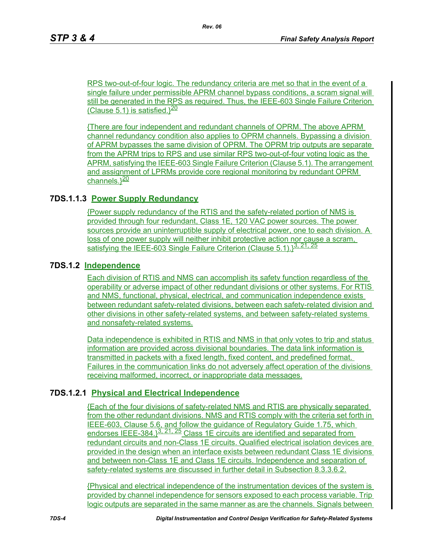RPS two-out-of-four logic. The redundancy criteria are met so that in the event of a single failure under permissible APRM channel bypass conditions, a scram signal will still be generated in the RPS as required. Thus, the IEEE-603 Single Failure Criterion (Clause 5.1) is satisfied. $\frac{20}{20}$ 

{There are four independent and redundant channels of OPRM. The above APRM channel redundancy condition also applies to OPRM channels. Bypassing a division of APRM bypasses the same division of OPRM. The OPRM trip outputs are separate from the APRM trips to RPS and use similar RPS two-out-of-four voting logic as the APRM, satisfying the IEEE-603 Single Failure Criterion (Clause 5.1). The arrangement and assignment of LPRMs provide core regional monitoring by redundant OPRM channels.<sup>}20</sup>

### **7DS.1.1.3 Power Supply Redundancy**

{Power supply redundancy of the RTIS and the safety-related portion of NMS is provided through four redundant, Class 1E, 120 VAC power sources. The power sources provide an uninterruptible supply of electrical power, one to each division. A loss of one power supply will neither inhibit protective action nor cause a scram, satisfying the IEEE-603 Single Failure Criterion (Clause 5.1). 3. 21, 25

### **7DS.1.2 Independence**

Each division of RTIS and NMS can accomplish its safety function regardless of the operability or adverse impact of other redundant divisions or other systems. For RTIS and NMS, functional, physical, electrical, and communication independence exists between redundant safety-related divisions, between each safety-related division and other divisions in other safety-related systems, and between safety-related systems and nonsafety-related systems.

Data independence is exhibited in RTIS and NMS in that only votes to trip and status information are provided across divisional boundaries. The data link information is transmitted in packets with a fixed length, fixed content, and predefined format. Failures in the communication links do not adversely affect operation of the divisions receiving malformed, incorrect, or inappropriate data messages.

### **7DS.1.2.1 Physical and Electrical Independence**

{Each of the four divisions of safety-related NMS and RTIS are physically separated from the other redundant divisions. NMS and RTIS comply with the criteria set forth in IEEE-603, Clause 5.6, and follow the guidance of Regulatory Guide 1.75, which endorses IEEE-384.} $3, 21, 25$  Class 1E circuits are identified and separated from redundant circuits and non-Class 1E circuits. Qualified electrical isolation devices are provided in the design when an interface exists between redundant Class 1E divisions and between non-Class 1E and Class 1E circuits. Independence and separation of safety-related systems are discussed in further detail in Subsection 8.3.3.6.2.

{Physical and electrical independence of the instrumentation devices of the system is provided by channel independence for sensors exposed to each process variable. Trip logic outputs are separated in the same manner as are the channels. Signals between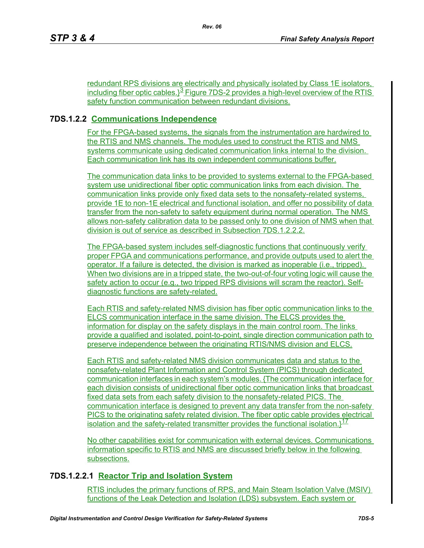redundant RPS divisions are electrically and physically isolated by Class 1E isolators, including fiber optic cables. $3<sup>3</sup>$  Figure 7DS-2 provides a high-level overview of the RTIS safety function communication between redundant divisions.

# **7DS.1.2.2 Communications Independence**

For the FPGA-based systems, the signals from the instrumentation are hardwired to the RTIS and NMS channels. The modules used to construct the RTIS and NMS systems communicate using dedicated communication links internal to the division. Each communication link has its own independent communications buffer.

The communication data links to be provided to systems external to the FPGA-based system use unidirectional fiber optic communication links from each division. The communication links provide only fixed data sets to the nonsafety-related systems, provide 1E to non-1E electrical and functional isolation, and offer no possibility of data transfer from the non-safety to safety equipment during normal operation. The NMS allows non-safety calibration data to be passed only to one division of NMS when that division is out of service as described in Subsection 7DS.1.2.2.2.

The FPGA-based system includes self-diagnostic functions that continuously verify proper FPGA and communications performance, and provide outputs used to alert the operator. If a failure is detected, the division is marked as inoperable (i.e., tripped). When two divisions are in a tripped state, the two-out-of-four voting logic will cause the safety action to occur (e.g., two tripped RPS divisions will scram the reactor). Selfdiagnostic functions are safety-related.

Each RTIS and safety-related NMS division has fiber optic communication links to the ELCS communication interface in the same division. The ELCS provides the information for display on the safety displays in the main control room. The links provide a qualified and isolated, point-to-point, single direction communication path to preserve independence between the originating RTIS/NMS division and ELCS.

Each RTIS and safety-related NMS division communicates data and status to the nonsafety-related Plant Information and Control System (PICS) through dedicated communication interfaces in each system's modules. {The communication interface for each division consists of unidirectional fiber optic communication links that broadcast fixed data sets from each safety division to the nonsafety-related PICS. The communication interface is designed to prevent any data transfer from the non-safety PICS to the originating safety related division. The fiber optic cable provides electrical isolation and the safety-related transmitter provides the functional isolation.}<sup>17</sup>

No other capabilities exist for communication with external devices. Communications information specific to RTIS and NMS are discussed briefly below in the following subsections.

# **7DS.1.2.2.1 Reactor Trip and Isolation System**

RTIS includes the primary functions of RPS, and Main Steam Isolation Valve (MSIV) functions of the Leak Detection and Isolation (LDS) subsystem. Each system or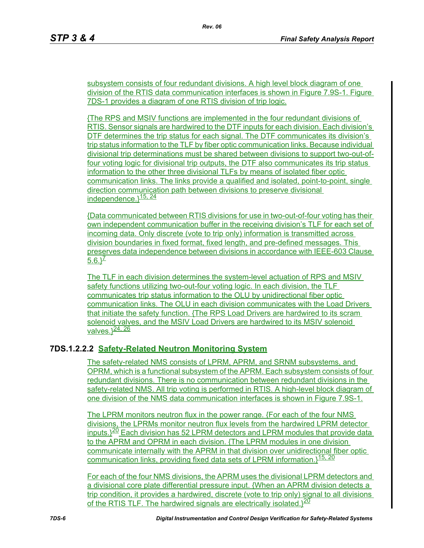subsystem consists of four redundant divisions. A high level block diagram of one division of the RTIS data communication interfaces is shown in Figure 7.9S-1. Figure 7DS-1 provides a diagram of one RTIS division of trip logic.

{The RPS and MSIV functions are implemented in the four redundant divisions of RTIS. Sensor signals are hardwired to the DTF inputs for each division. Each division's DTF determines the trip status for each signal. The DTF communicates its division's trip status information to the TLF by fiber optic communication links. Because individual divisional trip determinations must be shared between divisions to support two-out-offour voting logic for divisional trip outputs, the DTF also communicates its trip status information to the other three divisional TLFs by means of isolated fiber optic communication links. The links provide a qualified and isolated, point-to-point, single direction communication path between divisions to preserve divisional independence. $3\frac{15}{24}$ 

{Data communicated between RTIS divisions for use in two-out-of-four voting has their own independent communication buffer in the receiving division's TLF for each set of incoming data. Only discrete (vote to trip only) information is transmitted across division boundaries in fixed format, fixed length, and pre-defined messages. This preserves data independence between divisions in accordance with IEEE-603 Clause  $5.6.3<sup>Z</sup>$ 

The TLF in each division determines the system-level actuation of RPS and MSIV safety functions utilizing two-out-four voting logic. In each division, the TLF communicates trip status information to the OLU by unidirectional fiber optic communication links. The OLU in each division communicates with the Load Drivers that initiate the safety function. {The RPS Load Drivers are hardwired to its scram solenoid valves, and the MSIV Load Drivers are hardwired to its MSIV solenoid valves.}<sup>24, 26</sup>

# **7DS.1.2.2.2 Safety-Related Neutron Monitoring System**

The safety-related NMS consists of LPRM, APRM, and SRNM subsystems, and OPRM, which is a functional subsystem of the APRM. Each subsystem consists of four redundant divisions. There is no communication between redundant divisions in the safety-related NMS. All trip voting is performed in RTIS. A high-level block diagram of one division of the NMS data communication interfaces is shown in Figure 7.9S-1.

The LPRM monitors neutron flux in the power range. {For each of the four NMS divisions, the LPRMs monitor neutron flux levels from the hardwired LPRM detector inputs. $320$  Each division has 52 LPRM detectors and LPRM modules that provide data to the APRM and OPRM in each division. {The LPRM modules in one division communicate internally with the APRM in that division over unidirectional fiber optic communication links, providing fixed data sets of LPRM information. $1^{15, 20}$ 

For each of the four NMS divisions, the APRM uses the divisional LPRM detectors and a divisional core plate differential pressure input. {When an APRM division detects a trip condition, it provides a hardwired, discrete (vote to trip only) signal to all divisions of the RTIS TLF. The hardwired signals are electrically isolated. $320$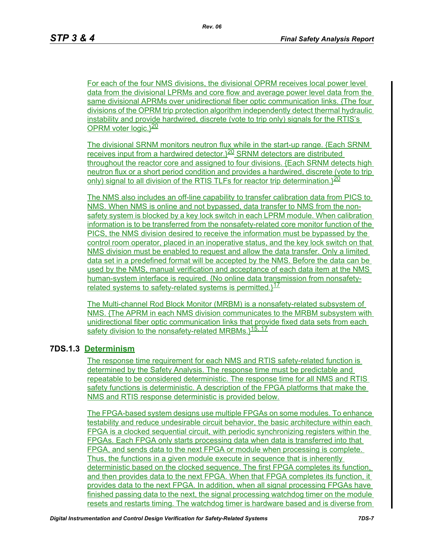For each of the four NMS divisions, the divisional OPRM receives local power level data from the divisional LPRMs and core flow and average power level data from the same divisional APRMs over unidirectional fiber optic communication links. {The four divisions of the OPRM trip protection algorithm independently detect thermal hydraulic instability and provide hardwired, discrete (vote to trip only) signals for the RTIS's OPRM voter logic. $3^{20}$ 

The divisional SRNM monitors neutron flux while in the start-up range. {Each SRNM receives input from a hardwired detector.<sup>}20</sup> SRNM detectors are distributed throughout the reactor core and assigned to four divisions. {Each SRNM detects high neutron flux or a short period condition and provides a hardwired, discrete (vote to trip only) signal to all division of the RTIS TLFs for reactor trip determination. $3^{20}$ 

The NMS also includes an off-line capability to transfer calibration data from PICS to NMS. When NMS is online and not bypassed, data transfer to NMS from the nonsafety system is blocked by a key lock switch in each LPRM module. When calibration information is to be transferred from the nonsafety-related core monitor function of the PICS, the NMS division desired to receive the information must be bypassed by the control room operator, placed in an inoperative status, and the key lock switch on that NMS division must be enabled to request and allow the data transfer. Only a limited data set in a predefined format will be accepted by the NMS. Before the data can be used by the NMS, manual verification and acceptance of each data item at the NMS human-system interface is required. {No online data transmission from nonsafetyrelated systems to safety-related systems is permitted. $1^{17}$ 

The Multi-channel Rod Block Monitor (MRBM) is a nonsafety-related subsystem of NMS. {The APRM in each NMS division communicates to the MRBM subsystem with unidirectional fiber optic communication links that provide fixed data sets from each safety division to the nonsafety-related MRBMs.}<sup>15, 17</sup>

# **7DS.1.3 Determinism**

The response time requirement for each NMS and RTIS safety-related function is determined by the Safety Analysis. The response time must be predictable and repeatable to be considered deterministic. The response time for all NMS and RTIS safety functions is deterministic. A description of the FPGA platforms that make the NMS and RTIS response deterministic is provided below.

The FPGA-based system designs use multiple FPGAs on some modules. To enhance testability and reduce undesirable circuit behavior, the basic architecture within each FPGA is a clocked sequential circuit, with periodic synchronizing registers within the FPGAs. Each FPGA only starts processing data when data is transferred into that FPGA, and sends data to the next FPGA or module when processing is complete. Thus, the functions in a given module execute in sequence that is inherently deterministic based on the clocked sequence. The first FPGA completes its function, and then provides data to the next FPGA. When that FPGA completes its function, it provides data to the next FPGA. In addition, when all signal processing FPGAs have finished passing data to the next, the signal processing watchdog timer on the module resets and restarts timing. The watchdog timer is hardware based and is diverse from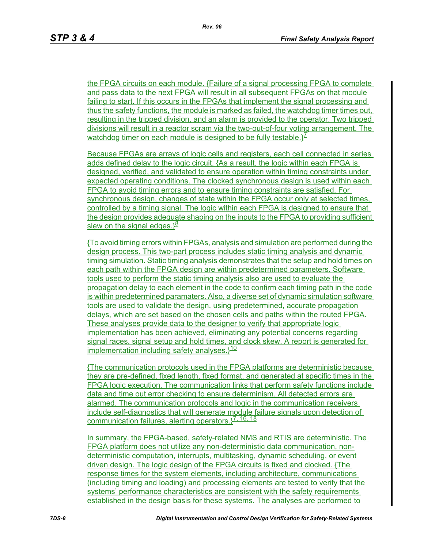the FPGA circuits on each module. {Failure of a signal processing FPGA to complete and pass data to the next FPGA will result in all subsequent FPGAs on that module failing to start. If this occurs in the FPGAs that implement the signal processing and thus the safety functions, the module is marked as failed, the watchdog timer times out, resulting in the tripped division, and an alarm is provided to the operator. Two tripped divisions will result in a reactor scram via the two-out-of-four voting arrangement. The watchdog timer on each module is designed to be fully testable. ${}^{\chi}$ <sup>7</sup>

Because FPGAs are arrays of logic cells and registers, each cell connected in series adds defined delay to the logic circuit. {As a result, the logic within each FPGA is designed, verified, and validated to ensure operation within timing constraints under expected operating conditions. The clocked synchronous design is used within each FPGA to avoid timing errors and to ensure timing constraints are satisfied. For synchronous design, changes of state within the FPGA occur only at selected times, controlled by a timing signal. The logic within each FPGA is designed to ensure that the design provides adequate shaping on the inputs to the FPGA to providing sufficient slew on the signal edges. $3^{\underline{8}}$ 

{To avoid timing errors within FPGAs, analysis and simulation are performed during the design process. This two-part process includes static timing analysis and dynamic timing simulation. Static timing analysis demonstrates that the setup and hold times on each path within the FPGA design are within predetermined parameters. Software tools used to perform the static timing analysis also are used to evaluate the propagation delay to each element in the code to confirm each timing path in the code is within predetermined paramaters. Also, a diverse set of dynamic simulation software tools are used to validate the design, using predetermined, accurate propagation delays, which are set based on the chosen cells and paths within the routed FPGA. These analyses provide data to the designer to verify that appropriate logic implementation has been achieved, eliminating any potential concerns regarding signal races, signal setup and hold times, and clock skew. A report is generated for implementation including safety analyses.<sup>10</sup>

{The communication protocols used in the FPGA platforms are deterministic because they are pre-defined, fixed length, fixed format, and generated at specific times in the FPGA logic execution. The communication links that perform safety functions include data and time out error checking to ensure determinism. All detected errors are alarmed. The communication protocols and logic in the communication receivers include self-diagnostics that will generate module failure signals upon detection of communication failures, alerting operators.<sup>[7, 16, 18</sup>]

In summary, the FPGA-based, safety-related NMS and RTIS are deterministic. The FPGA platform does not utilize any non-deterministic data communication, nondeterministic computation, interrupts, multitasking, dynamic scheduling, or event driven design. The logic design of the FPGA circuits is fixed and clocked. {The response times for the system elements, including architecture, communications (including timing and loading) and processing elements are tested to verify that the systems' performance characteristics are consistent with the safety requirements established in the design basis for these systems. The analyses are performed to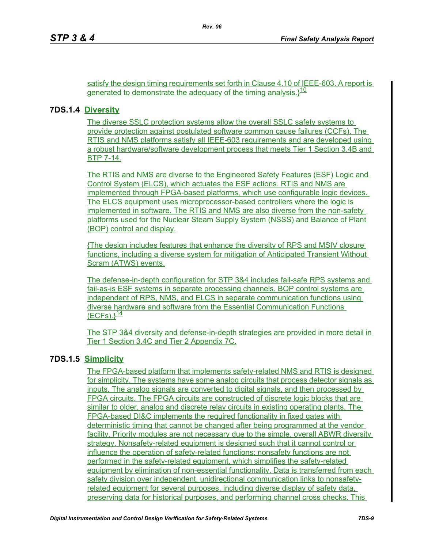satisfy the design timing requirements set forth in Clause 4.10 of IEEE-603. A report is generated to demonstrate the adequacy of the timing analysis. $1^{10}$ 

*Rev. 06*

### **7DS.1.4 Diversity**

The diverse SSLC protection systems allow the overall SSLC safety systems to provide protection against postulated software common cause failures (CCFs). The RTIS and NMS platforms satisfy all IEEE-603 requirements and are developed using a robust hardware/software development process that meets Tier 1 Section 3.4B and BTP 7-14.

The RTIS and NMS are diverse to the Engineered Safety Features (ESF) Logic and Control System (ELCS), which actuates the ESF actions. RTIS and NMS are implemented through FPGA-based platforms, which use configurable logic devices. The ELCS equipment uses microprocessor-based controllers where the logic is implemented in software. The RTIS and NMS are also diverse from the non-safety platforms used for the Nuclear Steam Supply System (NSSS) and Balance of Plant (BOP) control and display.

{The design includes features that enhance the diversity of RPS and MSIV closure functions, including a diverse system for mitigation of Anticipated Transient Without Scram (ATWS) events.

The defense-in-depth configuration for STP 3&4 includes fail-safe RPS systems and fail-as-is ESF systems in separate processing channels. BOP control systems are independent of RPS, NMS, and ELCS in separate communication functions using diverse hardware and software from the Essential Communication Functions  $(ECFs).$ <sup>14</sup>

The STP 3&4 diversity and defense-in-depth strategies are provided in more detail in Tier 1 Section 3.4C and Tier 2 Appendix 7C.

# **7DS.1.5 Simplicity**

The FPGA-based platform that implements safety-related NMS and RTIS is designed for simplicity. The systems have some analog circuits that process detector signals as inputs. The analog signals are converted to digital signals, and then processed by FPGA circuits. The FPGA circuits are constructed of discrete logic blocks that are similar to older, analog and discrete relay circuits in existing operating plants. The FPGA-based DI&C implements the required functionality in fixed gates with deterministic timing that cannot be changed after being programmed at the vendor facility. Priority modules are not necessary due to the simple, overall ABWR diversity strategy. Nonsafety-related equipment is designed such that it cannot control or influence the operation of safety-related functions; nonsafety functions are not performed in the safety-related equipment, which simplifies the safety-related equipment by elimination of non-essential functionality. Data is transferred from each safety division over independent, unidirectional communication links to nonsafetyrelated equipment for several purposes, including diverse display of safety data, preserving data for historical purposes, and performing channel cross checks. This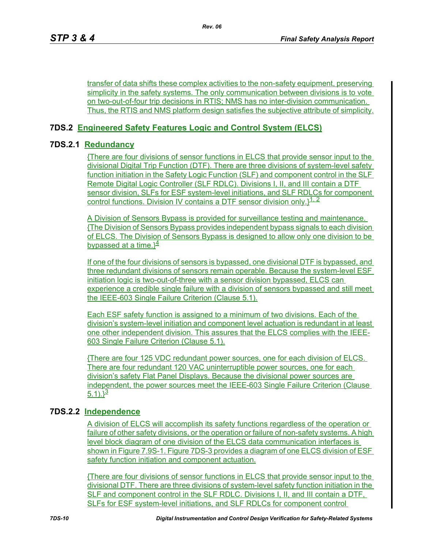transfer of data shifts these complex activities to the non-safety equipment, preserving simplicity in the safety systems. The only communication between divisions is to vote on two-out-of-four trip decisions in RTIS; NMS has no inter-division communication. Thus, the RTIS and NMS platform design satisfies the subjective attribute of simplicity.

# **7DS.2 Engineered Safety Features Logic and Control System (ELCS)**

# **7DS.2.1 Redundancy**

{There are four divisions of sensor functions in ELCS that provide sensor input to the divisional Digital Trip Function (DTF). There are three divisions of system-level safety function initiation in the Safety Logic Function (SLF) and component control in the SLF Remote Digital Logic Controller (SLF RDLC). Divisions I, II, and III contain a DTF sensor division, SLFs for ESF system-level initiations, and SLF RDLCs for component control functions. Division IV contains a DTF sensor division only. $l^{1,2}$ 

A Division of Sensors Bypass is provided for surveillance testing and maintenance. {The Division of Sensors Bypass provides independent bypass signals to each division of ELCS. The Division of Sensors Bypass is designed to allow only one division to be bypassed at a time. $3<sup>4</sup>$ 

If one of the four divisions of sensors is bypassed, one divisional DTF is bypassed, and three redundant divisions of sensors remain operable. Because the system-level ESF initiation logic is two-out-of-three with a sensor division bypassed, ELCS can experience a credible single failure with a division of sensors bypassed and still meet the IEEE-603 Single Failure Criterion (Clause 5.1).

Each ESF safety function is assigned to a minimum of two divisions. Each of the division's system-level initiation and component level actuation is redundant in at least one other independent division. This assures that the ELCS complies with the IEEE-603 Single Failure Criterion (Clause 5.1).

{There are four 125 VDC redundant power sources, one for each division of ELCS. There are four redundant 120 VAC uninterruptible power sources, one for each division's safety Flat Panel Displays. Because the divisional power sources are independent, the power sources meet the IEEE-603 Single Failure Criterion (Clause 5.1). $\frac{3}{2}$ 

# **7DS.2.2 Independence**

A division of ELCS will accomplish its safety functions regardless of the operation or failure of other safety divisions, or the operation or failure of non-safety systems. A high level block diagram of one division of the ELCS data communication interfaces is shown in Figure 7.9S-1. Figure 7DS-3 provides a diagram of one ELCS division of ESF safety function initiation and component actuation.

{There are four divisions of sensor functions in ELCS that provide sensor input to the divisional DTF. There are three divisions of system-level safety function initiation in the SLF and component control in the SLF RDLC. Divisions I, II, and III contain a DTF, SLFs for ESF system-level initiations, and SLF RDLCs for component control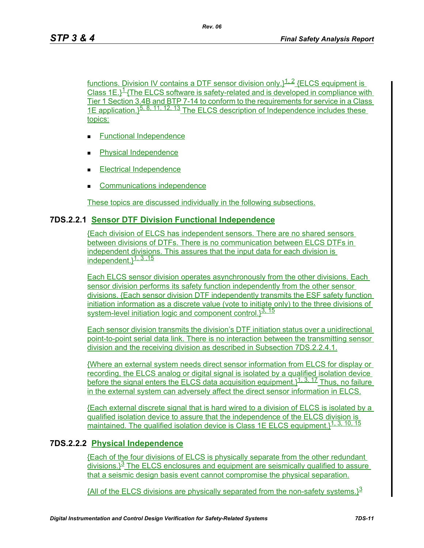functions. Division IV contains a DTF sensor division only. $1^{1.2}$  {ELCS equipment is Class 1E. $1/2$ The ELCS software is safety-related and is developed in compliance with Tier 1 Section 3.4B and BTP 7-14 to conform to the requirements for service in a Class 1E application.<sup>15, 8, 11, 12, 13</sup> The ELCS description of Independence includes these topics:

- **Functional Independence**
- Physical Independence
- Electrical Independence
- Communications independence

These topics are discussed individually in the following subsections.

#### **7DS.2.2.1 Sensor DTF Division Functional Independence**

{Each division of ELCS has independent sensors. There are no shared sensors between divisions of DTFs. There is no communication between ELCS DTFs in independent divisions. This assures that the input data for each division is independent.  $3.3, 15$ 

Each ELCS sensor division operates asynchronously from the other divisions. Each sensor division performs its safety function independently from the other sensor divisions. {Each sensor division DTF independently transmits the ESF safety function initiation information as a discrete value (vote to initiate only) to the three divisions of system-level initiation logic and component control. $3^{3, 15}$ 

Each sensor division transmits the division's DTF initiation status over a unidirectional point-to-point serial data link. There is no interaction between the transmitting sensor division and the receiving division as described in Subsection 7DS.2.2.4.1.

{Where an external system needs direct sensor information from ELCS for display or recording, the ELCS analog or digital signal is isolated by a qualified isolation device before the signal enters the ELCS data acquisition equipment. $3^{1, 3, 17}$  Thus, no failure in the external system can adversely affect the direct sensor information in ELCS.

{Each external discrete signal that is hard wired to a division of ELCS is isolated by a qualified isolation device to assure that the independence of the ELCS division is maintained. The qualified isolation device is Class 1E ELCS equipment. 14, 3, 10, 15

### **7DS.2.2.2 Physical Independence**

{Each of the four divisions of ELCS is physically separate from the other redundant divisions. $3<sup>3</sup>$  The ELCS enclosures and equipment are seismically qualified to assure that a seismic design basis event cannot compromise the physical separation.

{All of the ELCS divisions are physically separated from the non-safety systems. $3<sup>3</sup>$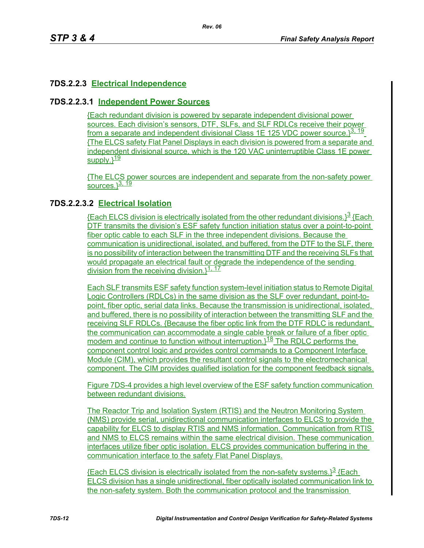# **7DS.2.2.3 Electrical Independence**

### **7DS.2.2.3.1 Independent Power Sources**

{Each redundant division is powered by separate independent divisional power sources. Each division's sensors, DTF, SLFs, and SLF RDLCs receive their power from a separate and independent divisional Class 1E 125 VDC power source.<sup>13, 19</sup> {The ELCS safety Flat Panel Displays in each division is powered from a separate and independent divisional source, which is the 120 VAC uninterruptible Class 1E power supply. $3^{19}$ 

{The ELCS power sources are independent and separate from the non-safety power sources. $3, \frac{19}{19}$ 

# **7DS.2.2.3.2 Electrical Isolation**

{Each ELCS division is electrically isolated from the other redundant divisions. $3^3$  {Each DTF transmits the division's ESF safety function initiation status over a point-to-point fiber optic cable to each SLF in the three independent divisions. Because the communication is unidirectional, isolated, and buffered, from the DTF to the SLF, there is no possibility of interaction between the transmitting DTF and the receiving SLFs that would propagate an electrical fault or degrade the independence of the sending division from the receiving division.  $1^{1, 17}$ 

Each SLF transmits ESF safety function system-level initiation status to Remote Digital Logic Controllers (RDLCs) in the same division as the SLF over redundant, point-topoint, fiber optic, serial data links. Because the transmission is unidirectional, isolated, and buffered, there is no possibility of interaction between the transmitting SLF and the receiving SLF RDLCs. {Because the fiber optic link from the DTF RDLC is redundant, the communication can accommodate a single cable break or failure of a fiber optic modem and continue to function without interruption.<sup>118</sup> The RDLC performs the component control logic and provides control commands to a Component Interface Module (CIM), which provides the resultant control signals to the electromechanical component. The CIM provides qualified isolation for the component feedback signals.

Figure 7DS-4 provides a high level overview of the ESF safety function communication between redundant divisions.

The Reactor Trip and Isolation System (RTIS) and the Neutron Monitoring System (NMS) provide serial, unidirectional communication interfaces to ELCS to provide the capability for ELCS to display RTIS and NMS information. Communication from RTIS and NMS to ELCS remains within the same electrical division. These communication interfaces utilize fiber optic isolation. ELCS provides communication buffering in the communication interface to the safety Flat Panel Displays.

**{Each ELCS division is electrically isolated from the non-safety systems.**}<sup>3</sup> {Each ELCS division has a single unidirectional, fiber optically isolated communication link to the non-safety system. Both the communication protocol and the transmission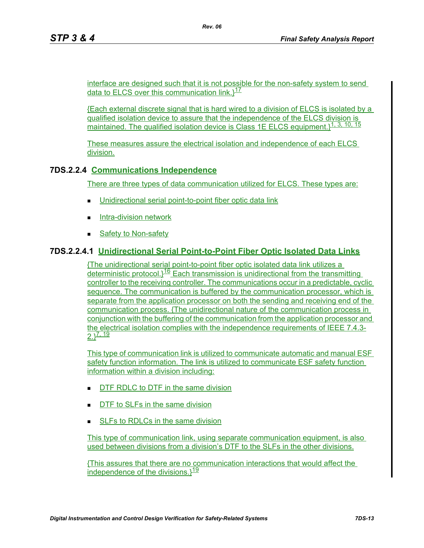interface are designed such that it is not possible for the non-safety system to send data to ELCS over this communication link. $1^{17}$ 

*Rev. 06*

{Each external discrete signal that is hard wired to a division of ELCS is isolated by a qualified isolation device to assure that the independence of the ELCS division is maintained. The qualified isolation device is Class 1E ELCS equipment.}<sup>1, 3, 10, 15</sup>

These measures assure the electrical isolation and independence of each ELCS division.

# **7DS.2.2.4 Communications Independence**

There are three types of data communication utilized for ELCS. These types are:

- Unidirectional serial point-to-point fiber optic data link
- **Intra-division network**
- Safety to Non-safety

# **7DS.2.2.4.1 Unidirectional Serial Point-to-Point Fiber Optic Isolated Data Links**

{The unidirectional serial point-to-point fiber optic isolated data link utilizes a deterministic protocol. $1^{16}$  Each transmission is unidirectional from the transmitting controller to the receiving controller. The communications occur in a predictable, cyclic sequence. The communication is buffered by the communication processor, which is separate from the application processor on both the sending and receiving end of the communication process. {The unidirectional nature of the communication process in conjunction with the buffering of the communication from the application processor and the electrical isolation complies with the independence requirements of IEEE 7.4.3-  $2.19$ 

This type of communication link is utilized to communicate automatic and manual ESF safety function information. The link is utilized to communicate ESF safety function information within a division including:

- **DTF RDLC to DTF in the same division**
- DTF to SLFs in the same division
- SLFs to RDLCs in the same division

This type of communication link, using separate communication equipment, is also used between divisions from a division's DTF to the SLFs in the other divisions.

{This assures that there are no communication interactions that would affect the independence of the divisions. $\frac{19}{9}$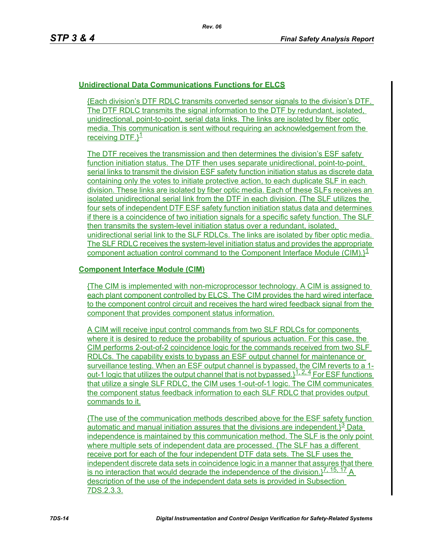# **Unidirectional Data Communications Functions for ELCS**

{Each division's DTF RDLC transmits converted sensor signals to the division's DTF. The DTF RDLC transmits the signal information to the DTF by redundant, isolated, unidirectional, point-to-point, serial data links. The links are isolated by fiber optic media. This communication is sent without requiring an acknowledgement from the receiving  $DTF.$ <sup>1</sup>

The DTF receives the transmission and then determines the division's ESF safety function initiation status. The DTF then uses separate unidirectional, point-to-point, serial links to transmit the division ESF safety function initiation status as discrete data containing only the votes to initiate protective action, to each duplicate SLF in each division. These links are isolated by fiber optic media. Each of these SLFs receives an isolated unidirectional serial link from the DTF in each division. {The SLF utilizes the four sets of independent DTF ESF safety function initiation status data and determines if there is a coincidence of two initiation signals for a specific safety function. The SLF then transmits the system-level initiation status over a redundant, isolated, unidirectional serial link to the SLF RDLCs. The links are isolated by fiber optic media. The SLF RDLC receives the system-level initiation status and provides the appropriate component actuation control command to the Component Interface Module (CIM). $l^1$ 

#### **Component Interface Module (CIM)**

{The CIM is implemented with non-microprocessor technology. A CIM is assigned to each plant component controlled by ELCS. The CIM provides the hard wired interface to the component control circuit and receives the hard wired feedback signal from the component that provides component status information.

A CIM will receive input control commands from two SLF RDLCs for components where it is desired to reduce the probability of spurious actuation. For this case, the CIM performs 2-out-of-2 coincidence logic for the commands received from two SLF RDLCs. The capability exists to bypass an ESF output channel for maintenance or surveillance testing. When an ESF output channel is bypassed, the CIM reverts to a 1 out-1 logic that utilizes the output channel that is not bypassed. $1^{1,2,4}$  For ESF functions that utilize a single SLF RDLC, the CIM uses 1-out-of-1 logic. The CIM communicates the component status feedback information to each SLF RDLC that provides output commands to it.

{The use of the communication methods described above for the ESF safety function automatic and manual initiation assures that the divisions are independent. $3^3$  Data independence is maintained by this communication method. The SLF is the only point where multiple sets of independent data are processed. {The SLF has a different receive port for each of the four independent DTF data sets. The SLF uses the independent discrete data sets in coincidence logic in a manner that assures that there is no interaction that would degrade the independence of the division. $1^{7, 15, 17}$  A description of the use of the independent data sets is provided in Subsection 7DS.2.3.3.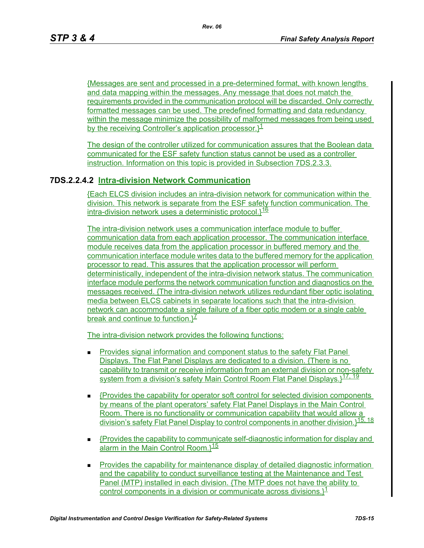{Messages are sent and processed in a pre-determined format, with known lengths and data mapping within the messages. Any message that does not match the requirements provided in the communication protocol will be discarded. Only correctly formatted messages can be used. The predefined formatting and data redundancy within the message minimize the possibility of malformed messages from being used by the receiving Controller's application processor. $\frac{1}{2}$ 

The design of the controller utilized for communication assures that the Boolean data communicated for the ESF safety function status cannot be used as a controller instruction. Information on this topic is provided in Subsection 7DS.2.3.3.

# **7DS.2.2.4.2 Intra-division Network Communication**

{Each ELCS division includes an intra-division network for communication within the division. This network is separate from the ESF safety function communication. The intra-division network uses a deterministic protocol. $1^{16}$ 

The intra-division network uses a communication interface module to buffer communication data from each application processor. The communication interface module receives data from the application processor in buffered memory and the communication interface module writes data to the buffered memory for the application processor to read. This assures that the application processor will perform deterministically, independent of the intra-division network status. The communication interface module performs the network communication function and diagnostics on the messages received. {The intra-division network utilizes redundant fiber optic isolating media between ELCS cabinets in separate locations such that the intra-division network can accommodate a single failure of a fiber optic modem or a single cable break and continue to function.  $^2$ 

The intra-division network provides the following functions:

- Provides signal information and component status to the safety Flat Panel Displays. The Flat Panel Displays are dedicated to a division. {There is no capability to transmit or receive information from an external division or non-safety system from a division's safety Main Control Room Flat Panel Displays. 17, 19
- {Provides the capability for operator soft control for selected division components by means of the plant operators' safety Flat Panel Displays in the Main Control Room. There is no functionality or communication capability that would allow a division's safety Flat Panel Display to control components in another division.}15, 18
- $\blacksquare$  {Provides the capability to communicate self-diagnostic information for display and alarm in the Main Control Room. $\frac{15}{15}$
- **Provides the capability for maintenance display of detailed diagnostic information** and the capability to conduct surveillance testing at the Maintenance and Test Panel (MTP) installed in each division. {The MTP does not have the ability to control components in a division or communicate across divisions. $l^1$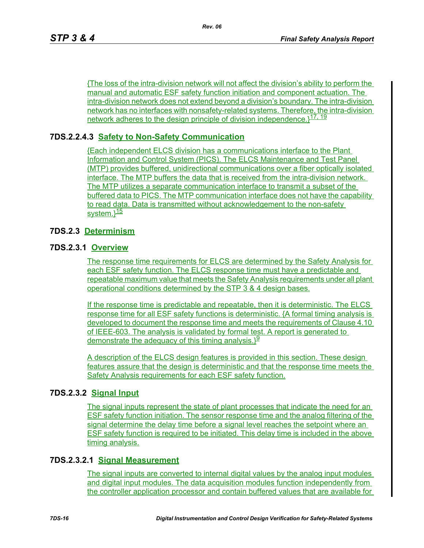{The loss of the intra-division network will not affect the division's ability to perform the manual and automatic ESF safety function initiation and component actuation. The intra-division network does not extend beyond a division's boundary. The intra-division network has no interfaces with nonsafety-related systems. Therefore, the intra-division network adheres to the design principle of division independence.<sup>177, 19</sup>

# **7DS.2.2.4.3 Safety to Non-Safety Communication**

{Each independent ELCS division has a communications interface to the Plant Information and Control System (PICS). The ELCS Maintenance and Test Panel (MTP) provides buffered, unidirectional communications over a fiber optically isolated interface. The MTP buffers the data that is received from the intra-division network. The MTP utilizes a separate communication interface to transmit a subset of the buffered data to PICS. The MTP communication interface does not have the capability to read data. Data is transmitted without acknowledgement to the non-safety system.}<sup>15</sup>

# **7DS.2.3 Determinism**

### **7DS.2.3.1 Overview**

The response time requirements for ELCS are determined by the Safety Analysis for each ESF safety function. The ELCS response time must have a predictable and repeatable maximum value that meets the Safety Analysis requirements under all plant operational conditions determined by the STP 3 & 4 design bases.

If the response time is predictable and repeatable, then it is deterministic. The ELCS response time for all ESF safety functions is deterministic. {A formal timing analysis is developed to document the response time and meets the requirements of Clause 4.10 of IEEE-603. The analysis is validated by formal test. A report is generated to demonstrate the adequacy of this timing analysis. $\frac{19}{2}$ 

A description of the ELCS design features is provided in this section. These design features assure that the design is deterministic and that the response time meets the Safety Analysis requirements for each ESF safety function.

### **7DS.2.3.2 Signal Input**

The signal inputs represent the state of plant processes that indicate the need for an ESF safety function initiation. The sensor response time and the analog filtering of the signal determine the delay time before a signal level reaches the setpoint where an ESF safety function is required to be initiated. This delay time is included in the above timing analysis.

### **7DS.2.3.2.1 Signal Measurement**

The signal inputs are converted to internal digital values by the analog input modules and digital input modules. The data acquisition modules function independently from the controller application processor and contain buffered values that are available for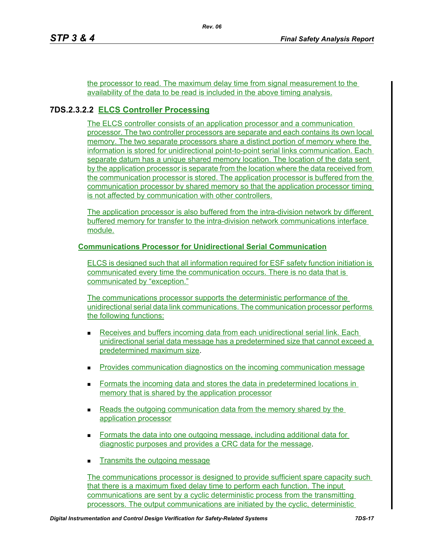the processor to read. The maximum delay time from signal measurement to the availability of the data to be read is included in the above timing analysis.

# **7DS.2.3.2.2 ELCS Controller Processing**

The ELCS controller consists of an application processor and a communication processor. The two controller processors are separate and each contains its own local memory. The two separate processors share a distinct portion of memory where the information is stored for unidirectional point-to-point serial links communication. Each separate datum has a unique shared memory location. The location of the data sent by the application processor is separate from the location where the data received from the communication processor is stored. The application processor is buffered from the communication processor by shared memory so that the application processor timing is not affected by communication with other controllers.

The application processor is also buffered from the intra-division network by different buffered memory for transfer to the intra-division network communications interface module.

### **Communications Processor for Unidirectional Serial Communication**

ELCS is designed such that all information required for ESF safety function initiation is communicated every time the communication occurs. There is no data that is communicated by "exception."

The communications processor supports the deterministic performance of the unidirectional serial data link communications. The communication processor performs the following functions:

- Receives and buffers incoming data from each unidirectional serial link. Each unidirectional serial data message has a predetermined size that cannot exceed a predetermined maximum size.
- Provides communication diagnostics on the incoming communication message
- **Formats the incoming data and stores the data in predetermined locations in** memory that is shared by the application processor
- Reads the outgoing communication data from the memory shared by the application processor
- Formats the data into one outgoing message, including additional data for diagnostic purposes and provides a CRC data for the message.
- **Transmits the outgoing message**

The communications processor is designed to provide sufficient spare capacity such that there is a maximum fixed delay time to perform each function. The input communications are sent by a cyclic deterministic process from the transmitting processors. The output communications are initiated by the cyclic, deterministic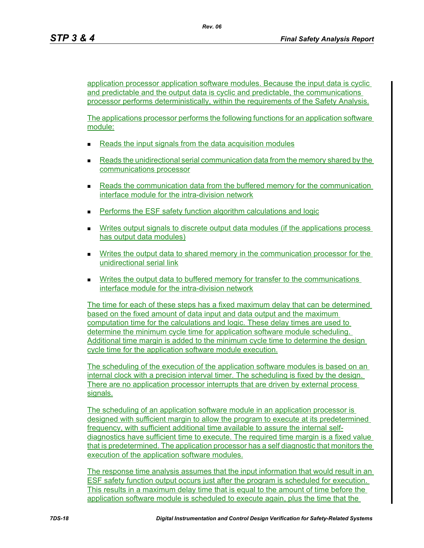application processor application software modules. Because the input data is cyclic and predictable and the output data is cyclic and predictable, the communications processor performs deterministically, within the requirements of the Safety Analysis.

The applications processor performs the following functions for an application software module:

- Reads the input signals from the data acquisition modules
- Reads the unidirectional serial communication data from the memory shared by the communications processor
- **Reads the communication data from the buffered memory for the communication** interface module for the intra-division network
- Performs the ESF safety function algorithm calculations and logic
- Writes output signals to discrete output data modules (if the applications process has output data modules)
- **Writes the output data to shared memory in the communication processor for the** unidirectional serial link
- **Writes the output data to buffered memory for transfer to the communications** interface module for the intra-division network

The time for each of these steps has a fixed maximum delay that can be determined based on the fixed amount of data input and data output and the maximum computation time for the calculations and logic. These delay times are used to determine the minimum cycle time for application software module scheduling. Additional time margin is added to the minimum cycle time to determine the design cycle time for the application software module execution.

The scheduling of the execution of the application software modules is based on an internal clock with a precision interval timer. The scheduling is fixed by the design. There are no application processor interrupts that are driven by external process signals.

The scheduling of an application software module in an application processor is designed with sufficient margin to allow the program to execute at its predetermined frequency, with sufficient additional time available to assure the internal selfdiagnostics have sufficient time to execute. The required time margin is a fixed value that is predetermined. The application processor has a self diagnostic that monitors the execution of the application software modules.

The response time analysis assumes that the input information that would result in an ESF safety function output occurs just after the program is scheduled for execution. This results in a maximum delay time that is equal to the amount of time before the application software module is scheduled to execute again, plus the time that the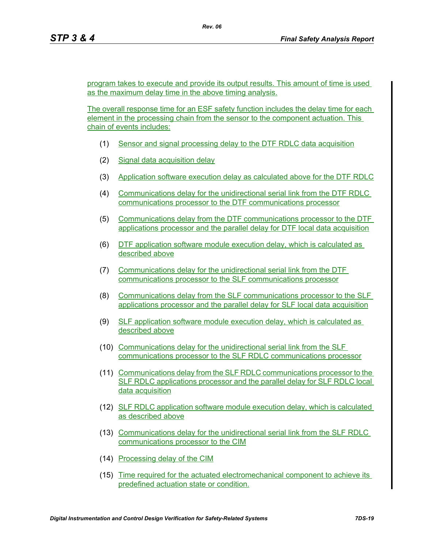program takes to execute and provide its output results. This amount of time is used as the maximum delay time in the above timing analysis.

The overall response time for an ESF safety function includes the delay time for each element in the processing chain from the sensor to the component actuation. This chain of events includes:

- (1) Sensor and signal processing delay to the DTF RDLC data acquisition
- (2) Signal data acquisition delay
- (3) Application software execution delay as calculated above for the DTF RDLC
- (4) Communications delay for the unidirectional serial link from the DTF RDLC communications processor to the DTF communications processor
- (5) Communications delay from the DTF communications processor to the DTF applications processor and the parallel delay for DTF local data acquisition
- (6) DTF application software module execution delay, which is calculated as described above
- (7) Communications delay for the unidirectional serial link from the DTF communications processor to the SLF communications processor
- (8) Communications delay from the SLF communications processor to the SLF applications processor and the parallel delay for SLF local data acquisition
- (9) SLF application software module execution delay, which is calculated as described above
- (10) Communications delay for the unidirectional serial link from the SLF communications processor to the SLF RDLC communications processor
- (11) Communications delay from the SLF RDLC communications processor to the SLF RDLC applications processor and the parallel delay for SLF RDLC local data acquisition
- (12) SLF RDLC application software module execution delay, which is calculated as described above
- (13) Communications delay for the unidirectional serial link from the SLF RDLC communications processor to the CIM
- (14) Processing delay of the CIM
- (15) Time required for the actuated electromechanical component to achieve its predefined actuation state or condition.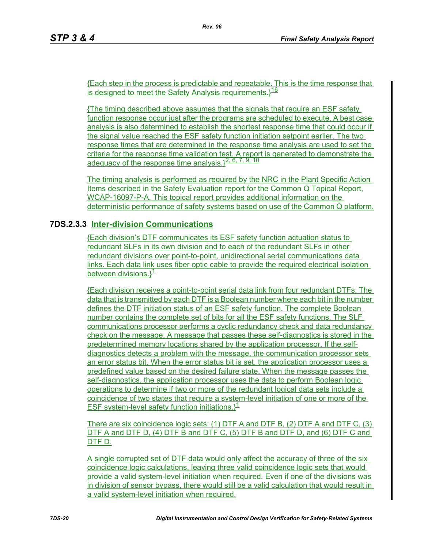{Each step in the process is predictable and repeatable. This is the time response that is designed to meet the Safety Analysis requirements. $116$ 

{The timing described above assumes that the signals that require an ESF safety function response occur just after the programs are scheduled to execute. A best case analysis is also determined to establish the shortest response time that could occur if the signal value reached the ESF safety function initiation setpoint earlier. The two response times that are determined in the response time analysis are used to set the criteria for the response time validation test. A report is generated to demonstrate the adequacy of the response time analysis. $3^{\overline{2, 6, 7, 9, 10}}$ 

The timing analysis is performed as required by the NRC in the Plant Specific Action Items described in the Safety Evaluation report for the Common Q Topical Report, WCAP-16097-P-A. This topical report provides additional information on the deterministic performance of safety systems based on use of the Common Q platform.

# **7DS.2.3.3 Inter-division Communications**

{Each division's DTF communicates its ESF safety function actuation status to redundant SLFs in its own division and to each of the redundant SLFs in other redundant divisions over point-to-point, unidirectional serial communications data links. Each data link uses fiber optic cable to provide the required electrical isolation between divisions. $3<sup>1</sup>$ 

{Each division receives a point-to-point serial data link from four redundant DTFs. The data that is transmitted by each DTF is a Boolean number where each bit in the number defines the DTF initiation status of an ESF safety function. The complete Boolean number contains the complete set of bits for all the ESF safety functions. The SLF communications processor performs a cyclic redundancy check and data redundancy check on the message. A message that passes these self-diagnostics is stored in the predetermined memory locations shared by the application processor. If the selfdiagnostics detects a problem with the message, the communication processor sets an error status bit. When the error status bit is set, the application processor uses a predefined value based on the desired failure state. When the message passes the self-diagnostics, the application processor uses the data to perform Boolean logic operations to determine if two or more of the redundant logical data sets include a coincidence of two states that require a system-level initiation of one or more of the ESF system-level safety function initiations. $\lambda^{\underline{1}}$ 

There are six coincidence logic sets: (1) DTF A and DTF B, (2) DTF A and DTF C, (3) DTF A and DTF D, (4) DTF B and DTF C, (5) DTF B and DTF D, and (6) DTF C and DTF D.

A single corrupted set of DTF data would only affect the accuracy of three of the six coincidence logic calculations, leaving three valid coincidence logic sets that would provide a valid system-level initiation when required. Even if one of the divisions was in division of sensor bypass, there would still be a valid calculation that would result in a valid system-level initiation when required.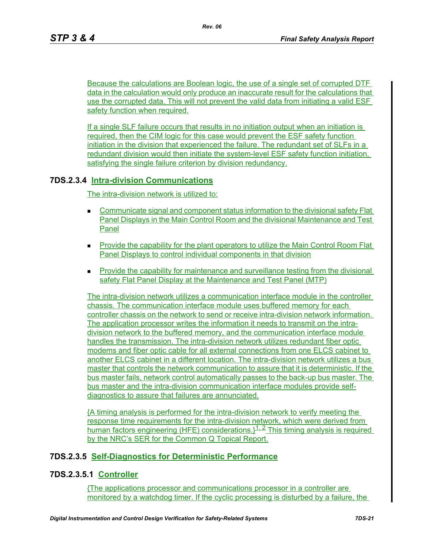Because the calculations are Boolean logic, the use of a single set of corrupted DTF data in the calculation would only produce an inaccurate result for the calculations that use the corrupted data. This will not prevent the valid data from initiating a valid ESF safety function when required.

If a single SLF failure occurs that results in no initiation output when an initiation is required, then the CIM logic for this case would prevent the ESF safety function initiation in the division that experienced the failure. The redundant set of SLFs in a redundant division would then initiate the system-level ESF safety function initiation, satisfying the single failure criterion by division redundancy.

# **7DS.2.3.4 Intra-division Communications**

The intra-division network is utilized to:

- Communicate signal and component status information to the divisional safety Flat Panel Displays in the Main Control Room and the divisional Maintenance and Test Panel
- **Provide the capability for the plant operators to utilize the Main Control Room Flat** Panel Displays to control individual components in that division
- **Provide the capability for maintenance and surveillance testing from the divisional** safety Flat Panel Display at the Maintenance and Test Panel (MTP)

The intra-division network utilizes a communication interface module in the controller chassis. The communication interface module uses buffered memory for each controller chassis on the network to send or receive intra-division network information. The application processor writes the information it needs to transmit on the intradivision network to the buffered memory, and the communication interface module handles the transmission. The intra-division network utilizes redundant fiber optic modems and fiber optic cable for all external connections from one ELCS cabinet to another ELCS cabinet in a different location. The intra-division network utilizes a bus master that controls the network communication to assure that it is deterministic. If the bus master fails, network control automatically passes to the back-up bus master. The bus master and the intra-division communication interface modules provide selfdiagnostics to assure that failures are annunciated.

{A timing analysis is performed for the intra-division network to verify meeting the response time requirements for the intra-division network, which were derived from human factors engineering (HFE) considerations. $1^{1.2}$  This timing analysis is required by the NRC's SER for the Common Q Topical Report.

# **7DS.2.3.5 Self-Diagnostics for Deterministic Performance**

# **7DS.2.3.5.1 Controller**

{The applications processor and communications processor in a controller are monitored by a watchdog timer. If the cyclic processing is disturbed by a failure, the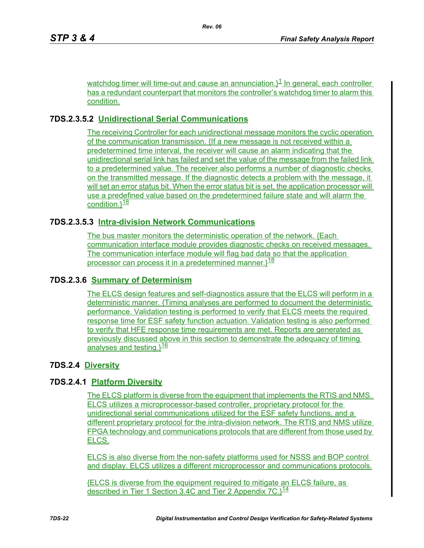watchdog timer will time-out and cause an annunciation. $3<sup>1</sup>$  In general, each controller has a redundant counterpart that monitors the controller's watchdog timer to alarm this condition.

# **7DS.2.3.5.2 Unidirectional Serial Communications**

The receiving Controller for each unidirectional message monitors the cyclic operation of the communication transmission. {If a new message is not received within a predetermined time interval, the receiver will cause an alarm indicating that the unidirectional serial link has failed and set the value of the message from the failed link to a predetermined value. The receiver also performs a number of diagnostic checks on the transmitted message. If the diagnostic detects a problem with the message, it will set an error status bit. When the error status bit is set, the application processor will use a predefined value based on the predetermined failure state and will alarm the condition. $3\frac{18}{8}$ 

# **7DS.2.3.5.3 Intra-division Network Communications**

The bus master monitors the deterministic operation of the network. {Each communication interface module provides diagnostic checks on received messages. The communication interface module will flag bad data so that the application processor can process it in a predetermined manner. $1^{18}$ 

# **7DS.2.3.6 Summary of Determinism**

The ELCS design features and self-diagnostics assure that the ELCS will perform in a deterministic manner. {Timing analyses are performed to document the deterministic performance. Validation testing is performed to verify that ELCS meets the required response time for ESF safety function actuation. Validation testing is also performed to verify that HFE response time requirements are met. Reports are generated as previously discussed above in this section to demonstrate the adequacy of timing analyses and testing.}<sup>16</sup>

# **7DS.2.4 Diversity**

# **7DS.2.4.1 Platform Diversity**

The ELCS platform is diverse from the equipment that implements the RTIS and NMS. ELCS utilizes a microprocessor-based controller, proprietary protocol for the unidirectional serial communications utilized for the ESF safety functions, and a different proprietary protocol for the intra-division network. The RTIS and NMS utilize FPGA technology and communications protocols that are different from those used by ELCS.

ELCS is also diverse from the non-safety platforms used for NSSS and BOP control and display. ELCS utilizes a different microprocessor and communications protocols.

{ELCS is diverse from the equipment required to mitigate an ELCS failure, as described in Tier 1 Section 3.4C and Tier 2 Appendix  $7C.\frac{14}{14}$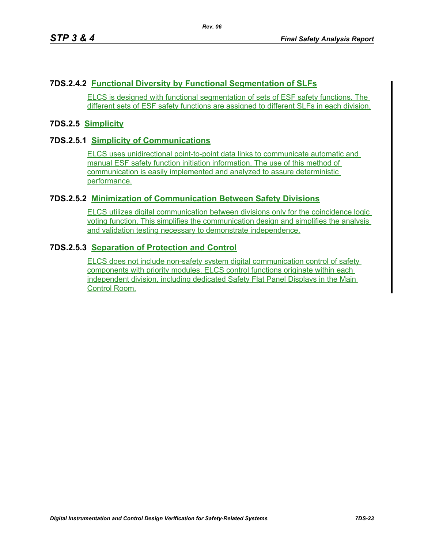# **7DS.2.4.2 Functional Diversity by Functional Segmentation of SLFs**

ELCS is designed with functional segmentation of sets of ESF safety functions. The different sets of ESF safety functions are assigned to different SLFs in each division.

### **7DS.2.5 Simplicity**

### **7DS.2.5.1 Simplicity of Communications**

ELCS uses unidirectional point-to-point data links to communicate automatic and manual ESF safety function initiation information. The use of this method of communication is easily implemented and analyzed to assure deterministic performance.

### **7DS.2.5.2 Minimization of Communication Between Safety Divisions**

ELCS utilizes digital communication between divisions only for the coincidence logic voting function. This simplifies the communication design and simplifies the analysis and validation testing necessary to demonstrate independence.

### **7DS.2.5.3 Separation of Protection and Control**

ELCS does not include non-safety system digital communication control of safety components with priority modules. ELCS control functions originate within each independent division, including dedicated Safety Flat Panel Displays in the Main Control Room.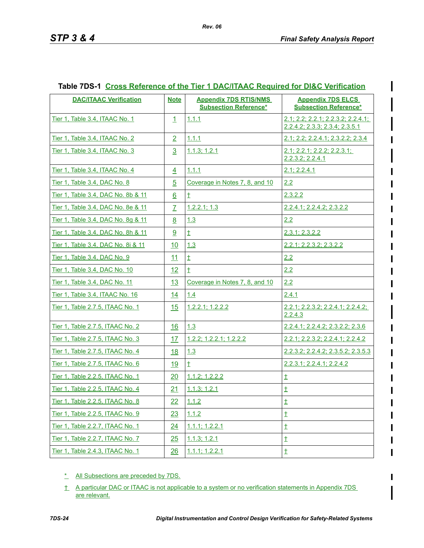| <b>DAC/ITAAC Verification</b>      | <b>Note</b>    | <b>Appendix 7DS RTIS/NMS</b>    | <b>Appendix 7DS ELCS</b>                                                |
|------------------------------------|----------------|---------------------------------|-------------------------------------------------------------------------|
|                                    |                | <b>Subsection Reference*</b>    | <b>Subsection Reference*</b>                                            |
| Tier 1, Table 3.4, ITAAC No. 1     | $\mathbf{1}$   | 1.1.1                           | $2.1$ ; 2.2; 2.2.1; 2.2.3.2; 2.2.4.1;<br>2.2.4.2; 2.3.3; 2.3.4; 2.3.5.1 |
| Tier 1, Table 3.4, ITAAC No. 2     | $\overline{2}$ | 1.1.1                           | 2.1; 2.2; 2.2.4.1; 2.3.2.2; 2.3.4                                       |
| Tier 1, Table 3.4, ITAAC No. 3     | $\overline{3}$ | 1.1.3; 1.2.1                    | 2.1; 2.2.1; 2.2.2; 2.2.3.1;<br>2.2.3.2; 2.2.4.1                         |
| Tier 1, Table 3.4, ITAAC No. 4     | $\overline{4}$ | 1.1.1                           | 2.1; 2.2.4.1                                                            |
| Tier 1, Table 3.4, DAC No. 8       | $\overline{5}$ | Coverage in Notes 7, 8, and 10  | 2.2                                                                     |
| Tier 1, Table 3.4, DAC No. 8b & 11 | 6              | $\pm$                           | 2.3.2.2                                                                 |
| Tier 1, Table 3.4, DAC No. 8e & 11 | $\overline{7}$ | 1.2.2.1; 1.3                    | 2.2.4.1; 2.2.4.2; 2.3.2.2                                               |
| Tier 1, Table 3.4, DAC No. 8q & 11 | <u>8</u>       | 1.3                             | 2.2                                                                     |
| Tier 1, Table 3.4, DAC No. 8h & 11 | 9              | $\pm$                           | 2.3.1; 2.3.2.2                                                          |
| Tier 1, Table 3.4, DAC No. 8i & 11 | 10             | 1.3                             | 2.2.1; 2.2.3.2; 2.3.2.2                                                 |
| Tier 1. Table 3.4. DAC No. 9       | 11             | $\pm$                           | 2.2                                                                     |
| Tier 1, Table 3.4, DAC No. 10      | 12             | $\pm$                           | 2.2                                                                     |
| Tier 1, Table 3.4, DAC No. 11      | 13             | Coverage in Notes 7, 8, and 10  | 2.2                                                                     |
| Tier 1, Table 3.4, ITAAC No. 16    | 14             | 1.4                             | 2.4.1                                                                   |
| Tier 1, Table 2.7.5, ITAAC No. 1   | 15             | 1.2.2.1; 1.2.2.2                | 2.2.1; 2.2.3.2; 2.2.4.1; 2.2.4.2;<br>2.2.4.3                            |
| Tier 1, Table 2.7.5, ITAAC No. 2   | 16             | 1.3                             | 2.2.4.1; 2.2.4.2; 2.3.2.2; 2.3.6                                        |
| Tier 1, Table 2.7.5, ITAAC No. 3   | 17             | $1.2.2$ ; $1.2.2.1$ ; $1.2.2.2$ | 2.2.1; 2.2.3.2; 2.2.4.1; 2.2.4.2                                        |
| Tier 1, Table 2.7.5, ITAAC No. 4   | 18             | 1.3                             | 2.2.3.2; 2.2.4.2; 2.3.5.2; 2.3.5.3                                      |
| Tier 1, Table 2.7.5, ITAAC No. 6   | <u>19</u>      | $\ddagger$                      | 2.2.3.1; 2.2.4.1; 2.2.4.2                                               |
| Tier 1. Table 2.2.5. ITAAC No. 1   | 20             | 1.1.2; 1.2.2.2                  | $\ddagger$                                                              |
| Tier 1. Table 2.2.5. ITAAC No. 4   | 21             | 1.1.3; 1.2.1                    | $\pm$                                                                   |
| Tier 1, Table 2.2.5, ITAAC No. 8   | 22             | 1.1.2                           | $\ddagger$                                                              |
| Tier 1, Table 2.2.5, ITAAC No. 9   | 23             | 1.1.2                           | $\ddagger$                                                              |
| Tier 1, Table 2.2.7, ITAAC No. 1   | 24             | $1.1.1$ ; 1.2.2.1               | $\ddagger$                                                              |
| Tier 1, Table 2.2.7, ITAAC No. 7   | 25             | 1.1.3; 1.2.1                    | $\ddagger$                                                              |
| Tier 1, Table 2.4.3, ITAAC No. 1   | 26             | 1.1.1; 1.2.2.1                  | $\ddagger$                                                              |

### **Table 7DS-1 Cross Reference of the Tier 1 DAC/ITAAC Required for DI&C Verification**

- \* All Subsections are preceded by 7DS.
- † A particular DAC or ITAAC is not applicable to a system or no verification statements in Appendix 7DS are relevant.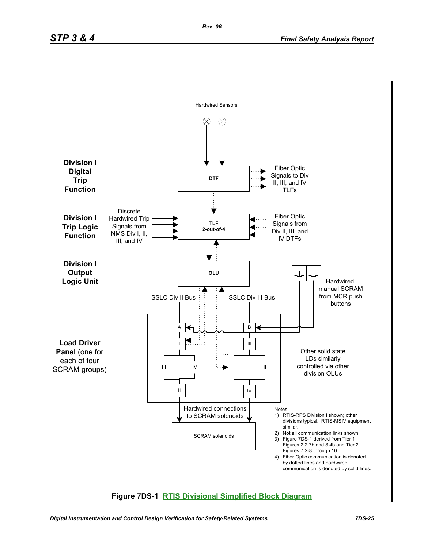

# **Figure 7DS-1 RTIS Divisional Simplified Block Diagram**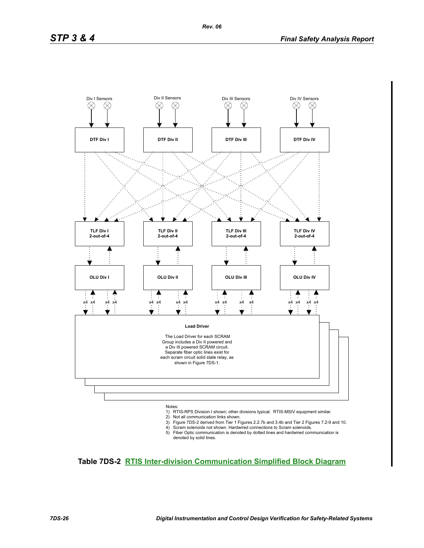

- 
- 1) RTIS-RPS Division I shown; other divisions typical. RTIS-MSIV equipment similar.
- 2) Not all communication links shown.
- 3) Figure 7DS-2 derived from Tier 1 Figures 2.2.7b and 3.4b and Tier 2 Figures 7.2-9 and 10. 4) Scram solenoids not shown. Hardwired connections to Scram solenoids.
- 5) Fiber Optic communication is denoted by dotted lines and hardwired communication is denoted by solid lines.

# **Table 7DS-2 RTIS Inter-division Communication Simplified Block Diagram**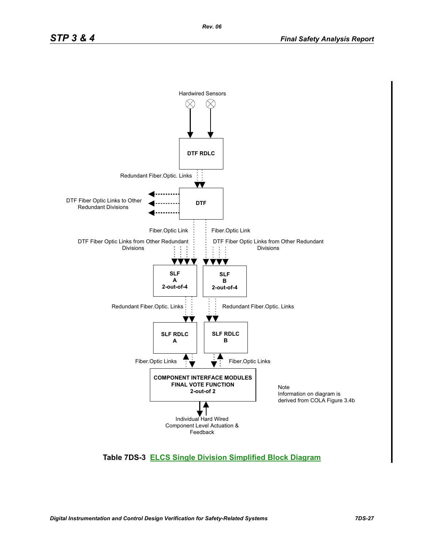